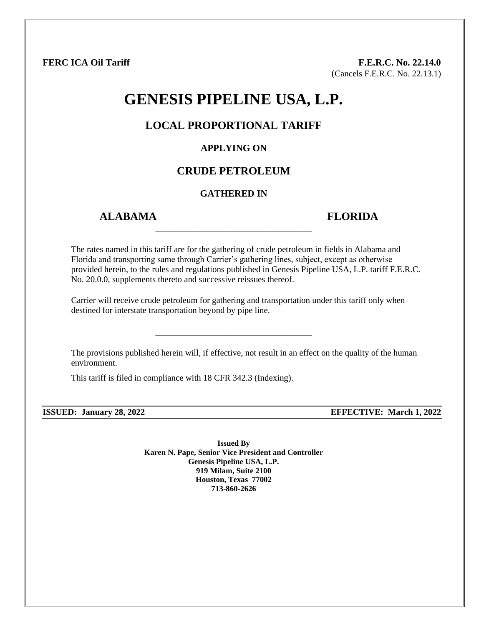**FERC ICA Oil Tariff F.E.R.C. No. 22.14.0** (Cancels F.E.R.C. No. 22.13.1)

# **GENESIS PIPELINE USA, L.P.**

### **LOCAL PROPORTIONAL TARIFF**

#### **APPLYING ON**

# **CRUDE PETROLEUM**

#### **GATHERED IN**

\_\_\_\_\_\_\_\_\_\_\_\_\_\_\_\_\_\_\_\_\_\_\_\_\_\_\_\_\_\_\_\_\_

# **ALABAMA FLORIDA**

The rates named in this tariff are for the gathering of crude petroleum in fields in Alabama and Florida and transporting same through Carrier's gathering lines, subject, except as otherwise provided herein, to the rules and regulations published in Genesis Pipeline USA, L.P. tariff F.E.R.C. No. 20.0.0, supplements thereto and successive reissues thereof.

Carrier will receive crude petroleum for gathering and transportation under this tariff only when destined for interstate transportation beyond by pipe line.

\_\_\_\_\_\_\_\_\_\_\_\_\_\_\_\_\_\_\_\_\_\_\_\_\_\_\_\_\_\_\_\_\_

The provisions published herein will, if effective, not result in an effect on the quality of the human environment.

This tariff is filed in compliance with 18 CFR 342.3 (Indexing).

**ISSUED: January 28, 2022 EFFECTIVE: March 1, 2022**

**Issued By Karen N. Pape, Senior Vice President and Controller Genesis Pipeline USA, L.P. 919 Milam, Suite 2100 Houston, Texas 77002 713-860-2626**